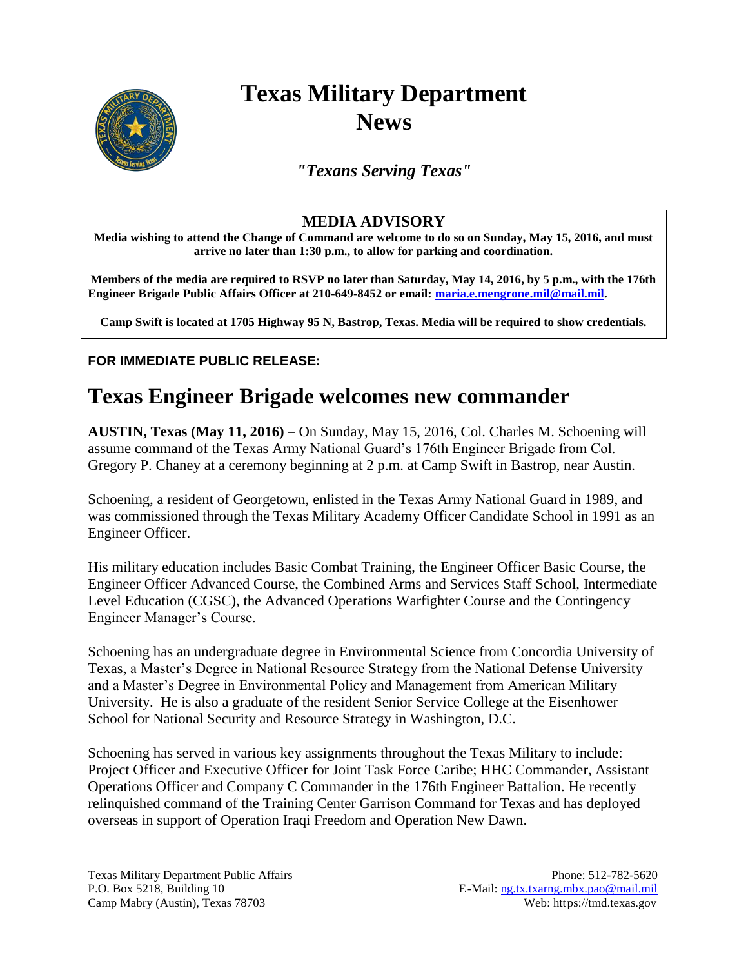

## **Texas Military Department News**

*"Texans Serving Texas"*

## **MEDIA ADVISORY**

**Media wishing to attend the Change of Command are welcome to do so on Sunday, May 15, 2016, and must arrive no later than 1:30 p.m., to allow for parking and coordination.**

**Members of the media are required to RSVP no later than Saturday, May 14, 2016, by 5 p.m., with the 176th Engineer Brigade Public Affairs Officer at 210-649-8452 or email: [maria.e.mengrone.mil@mail.mil.](mailto:maria.e.mengrone.mil@mail.mil)** 

**Camp Swift is located at 1705 Highway 95 N, Bastrop, Texas. Media will be required to show credentials.**

## **FOR IMMEDIATE PUBLIC RELEASE:**

## **Texas Engineer Brigade welcomes new commander**

**AUSTIN, Texas (May 11, 2016)** – On Sunday, May 15, 2016, Col. Charles M. Schoening will assume command of the Texas Army National Guard's 176th Engineer Brigade from Col. Gregory P. Chaney at a ceremony beginning at 2 p.m. at Camp Swift in Bastrop, near Austin.

Schoening, a resident of Georgetown, enlisted in the Texas Army National Guard in 1989, and was commissioned through the Texas Military Academy Officer Candidate School in 1991 as an Engineer Officer.

His military education includes Basic Combat Training, the Engineer Officer Basic Course, the Engineer Officer Advanced Course, the Combined Arms and Services Staff School, Intermediate Level Education (CGSC), the Advanced Operations Warfighter Course and the Contingency Engineer Manager's Course.

Schoening has an undergraduate degree in Environmental Science from Concordia University of Texas, a Master's Degree in National Resource Strategy from the National Defense University and a Master's Degree in Environmental Policy and Management from American Military University. He is also a graduate of the resident Senior Service College at the Eisenhower School for National Security and Resource Strategy in Washington, D.C.

Schoening has served in various key assignments throughout the Texas Military to include: Project Officer and Executive Officer for Joint Task Force Caribe; HHC Commander, Assistant Operations Officer and Company C Commander in the 176th Engineer Battalion. He recently relinquished command of the Training Center Garrison Command for Texas and has deployed overseas in support of Operation Iraqi Freedom and Operation New Dawn.